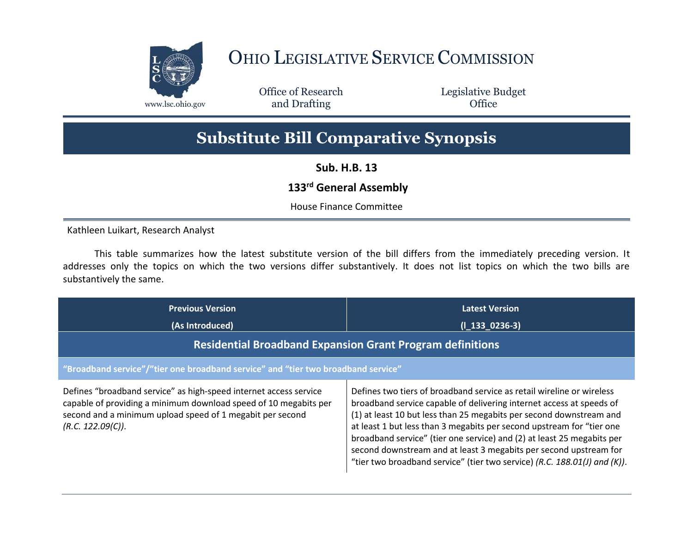

## OHIO LEGISLATIVE SERVICE COMMISSION

Office of Research www.lsc.ohio.gov **and Drafting Office** 

Legislative Budget

## **Substitute Bill Comparative Synopsis**

**Sub. H.B. 13**

## **133rd General Assembly**

House Finance Committee

Kathleen Luikart, Research Analyst

This table summarizes how the latest substitute version of the bill differs from the immediately preceding version. It addresses only the topics on which the two versions differ substantively. It does not list topics on which the two bills are substantively the same.

| <b>Previous Version</b><br>(As Introduced)                                                                                                                                                                              | <b>Latest Version</b><br>$(I_133_0236-3)$                                                                                                                                                                                                                                                                                                                                                                                                                                                                                 |  |
|-------------------------------------------------------------------------------------------------------------------------------------------------------------------------------------------------------------------------|---------------------------------------------------------------------------------------------------------------------------------------------------------------------------------------------------------------------------------------------------------------------------------------------------------------------------------------------------------------------------------------------------------------------------------------------------------------------------------------------------------------------------|--|
| <b>Residential Broadband Expansion Grant Program definitions</b>                                                                                                                                                        |                                                                                                                                                                                                                                                                                                                                                                                                                                                                                                                           |  |
| "Broadband service"/"tier one broadband service" and "tier two broadband service"                                                                                                                                       |                                                                                                                                                                                                                                                                                                                                                                                                                                                                                                                           |  |
| Defines "broadband service" as high-speed internet access service<br>capable of providing a minimum download speed of 10 megabits per<br>second and a minimum upload speed of 1 megabit per second<br>(R.C. 122.09(C)). | Defines two tiers of broadband service as retail wireline or wireless<br>broadband service capable of delivering internet access at speeds of<br>(1) at least 10 but less than 25 megabits per second downstream and<br>at least 1 but less than 3 megabits per second upstream for "tier one<br>broadband service" (tier one service) and (2) at least 25 megabits per<br>second downstream and at least 3 megabits per second upstream for<br>"tier two broadband service" (tier two service) (R.C. 188.01(J) and (K)). |  |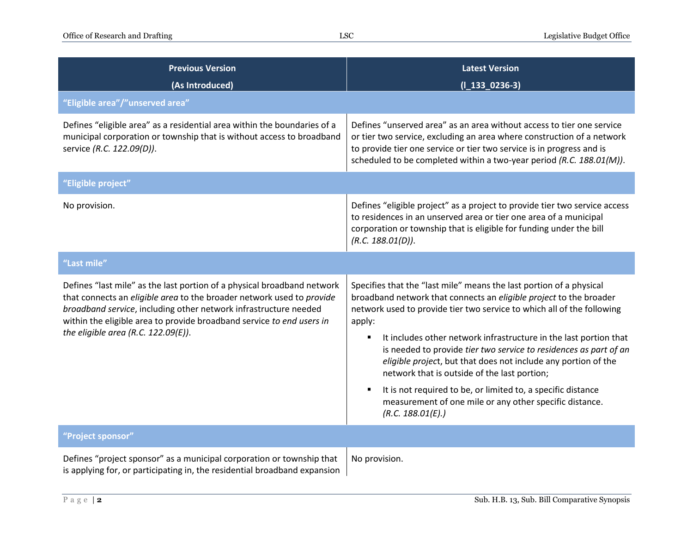| <b>Previous Version</b><br>(As Introduced)                                                                                                                                                                                                                                                                                              | <b>Latest Version</b><br>$(I_133_0236-3)$                                                                                                                                                                                                                                                                                                                                                                                                                                                                                                                                                                                                                   |
|-----------------------------------------------------------------------------------------------------------------------------------------------------------------------------------------------------------------------------------------------------------------------------------------------------------------------------------------|-------------------------------------------------------------------------------------------------------------------------------------------------------------------------------------------------------------------------------------------------------------------------------------------------------------------------------------------------------------------------------------------------------------------------------------------------------------------------------------------------------------------------------------------------------------------------------------------------------------------------------------------------------------|
| "Eligible area"/"unserved area"                                                                                                                                                                                                                                                                                                         |                                                                                                                                                                                                                                                                                                                                                                                                                                                                                                                                                                                                                                                             |
| Defines "eligible area" as a residential area within the boundaries of a<br>municipal corporation or township that is without access to broadband<br>service (R.C. 122.09(D)).                                                                                                                                                          | Defines "unserved area" as an area without access to tier one service<br>or tier two service, excluding an area where construction of a network<br>to provide tier one service or tier two service is in progress and is<br>scheduled to be completed within a two-year period (R.C. 188.01(M)).                                                                                                                                                                                                                                                                                                                                                            |
| "Eligible project"                                                                                                                                                                                                                                                                                                                      |                                                                                                                                                                                                                                                                                                                                                                                                                                                                                                                                                                                                                                                             |
| No provision.                                                                                                                                                                                                                                                                                                                           | Defines "eligible project" as a project to provide tier two service access<br>to residences in an unserved area or tier one area of a municipal<br>corporation or township that is eligible for funding under the bill<br>(R.C. 188.01(D)).                                                                                                                                                                                                                                                                                                                                                                                                                 |
| "Last mile"                                                                                                                                                                                                                                                                                                                             |                                                                                                                                                                                                                                                                                                                                                                                                                                                                                                                                                                                                                                                             |
| Defines "last mile" as the last portion of a physical broadband network<br>that connects an eligible area to the broader network used to provide<br>broadband service, including other network infrastructure needed<br>within the eligible area to provide broadband service to end users in<br>the eligible area (R.C. $122.09(E)$ ). | Specifies that the "last mile" means the last portion of a physical<br>broadband network that connects an eligible project to the broader<br>network used to provide tier two service to which all of the following<br>apply:<br>It includes other network infrastructure in the last portion that<br>$\blacksquare$<br>is needed to provide tier two service to residences as part of an<br>eligible project, but that does not include any portion of the<br>network that is outside of the last portion;<br>It is not required to be, or limited to, a specific distance<br>measurement of one mile or any other specific distance.<br>(R.C. 188.01(E).) |
| "Project sponsor"                                                                                                                                                                                                                                                                                                                       |                                                                                                                                                                                                                                                                                                                                                                                                                                                                                                                                                                                                                                                             |
| Defines "project sponsor" as a municipal corporation or township that<br>is applying for, or participating in, the residential broadband expansion                                                                                                                                                                                      | No provision.                                                                                                                                                                                                                                                                                                                                                                                                                                                                                                                                                                                                                                               |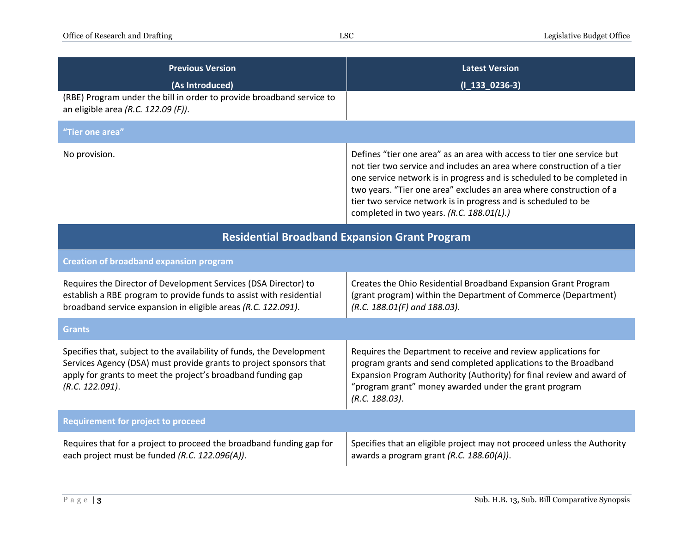| <b>Previous Version</b><br>(As Introduced)<br>(RBE) Program under the bill in order to provide broadband service to<br>an eligible area (R.C. 122.09 (F)).                                                                     | <b>Latest Version</b><br>$(I_133_0236-3)$                                                                                                                                                                                                                                                                                                                                                                        |
|--------------------------------------------------------------------------------------------------------------------------------------------------------------------------------------------------------------------------------|------------------------------------------------------------------------------------------------------------------------------------------------------------------------------------------------------------------------------------------------------------------------------------------------------------------------------------------------------------------------------------------------------------------|
| "Tier one area"                                                                                                                                                                                                                |                                                                                                                                                                                                                                                                                                                                                                                                                  |
| No provision.                                                                                                                                                                                                                  | Defines "tier one area" as an area with access to tier one service but<br>not tier two service and includes an area where construction of a tier<br>one service network is in progress and is scheduled to be completed in<br>two years. "Tier one area" excludes an area where construction of a<br>tier two service network is in progress and is scheduled to be<br>completed in two years. (R.C. 188.01(L).) |
| <b>Residential Broadband Expansion Grant Program</b>                                                                                                                                                                           |                                                                                                                                                                                                                                                                                                                                                                                                                  |
| <b>Creation of broadband expansion program</b>                                                                                                                                                                                 |                                                                                                                                                                                                                                                                                                                                                                                                                  |
| Requires the Director of Development Services (DSA Director) to<br>establish a RBE program to provide funds to assist with residential<br>broadband service expansion in eligible areas (R.C. 122.091).                        | Creates the Ohio Residential Broadband Expansion Grant Program<br>(grant program) within the Department of Commerce (Department)<br>(R.C. 188.01(F) and 188.03).                                                                                                                                                                                                                                                 |
| <b>Grants</b>                                                                                                                                                                                                                  |                                                                                                                                                                                                                                                                                                                                                                                                                  |
| Specifies that, subject to the availability of funds, the Development<br>Services Agency (DSA) must provide grants to project sponsors that<br>apply for grants to meet the project's broadband funding gap<br>(R.C. 122.091). | Requires the Department to receive and review applications for<br>program grants and send completed applications to the Broadband<br>Expansion Program Authority (Authority) for final review and award of<br>"program grant" money awarded under the grant program<br>(R.C. 188.03).                                                                                                                            |
| <b>Requirement for project to proceed</b>                                                                                                                                                                                      |                                                                                                                                                                                                                                                                                                                                                                                                                  |
| Requires that for a project to proceed the broadband funding gap for<br>each project must be funded (R.C. 122.096(A)).                                                                                                         | Specifies that an eligible project may not proceed unless the Authority<br>awards a program grant (R.C. 188.60(A)).                                                                                                                                                                                                                                                                                              |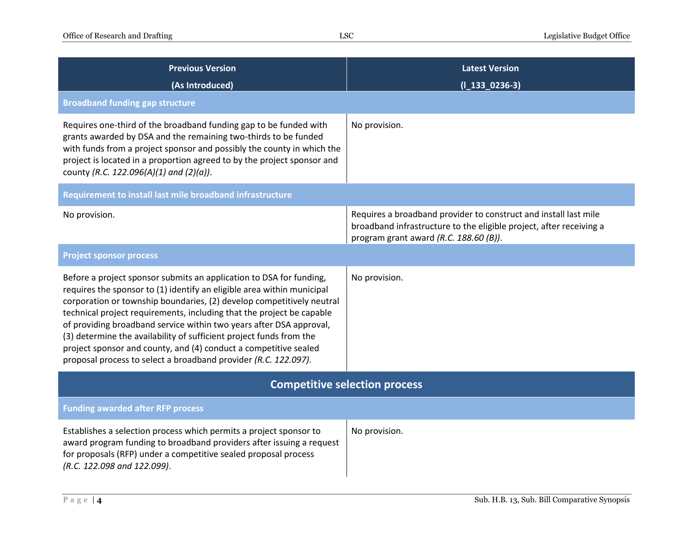| <b>Previous Version</b><br>(As Introduced)                                                                                                                                                                                                                                                                                                                                                                                                                                                                                                                                           | <b>Latest Version</b><br>$(I_133_0236-3)$                                                                                                                                         |  |
|--------------------------------------------------------------------------------------------------------------------------------------------------------------------------------------------------------------------------------------------------------------------------------------------------------------------------------------------------------------------------------------------------------------------------------------------------------------------------------------------------------------------------------------------------------------------------------------|-----------------------------------------------------------------------------------------------------------------------------------------------------------------------------------|--|
| <b>Broadband funding gap structure</b>                                                                                                                                                                                                                                                                                                                                                                                                                                                                                                                                               |                                                                                                                                                                                   |  |
| Requires one-third of the broadband funding gap to be funded with<br>grants awarded by DSA and the remaining two-thirds to be funded<br>with funds from a project sponsor and possibly the county in which the<br>project is located in a proportion agreed to by the project sponsor and<br>county (R.C. 122.096(A)(1) and (2)(a)).                                                                                                                                                                                                                                                 | No provision.                                                                                                                                                                     |  |
| Requirement to install last mile broadband infrastructure                                                                                                                                                                                                                                                                                                                                                                                                                                                                                                                            |                                                                                                                                                                                   |  |
| No provision.                                                                                                                                                                                                                                                                                                                                                                                                                                                                                                                                                                        | Requires a broadband provider to construct and install last mile<br>broadband infrastructure to the eligible project, after receiving a<br>program grant award (R.C. 188.60 (B)). |  |
| <b>Project sponsor process</b>                                                                                                                                                                                                                                                                                                                                                                                                                                                                                                                                                       |                                                                                                                                                                                   |  |
| Before a project sponsor submits an application to DSA for funding,<br>requires the sponsor to (1) identify an eligible area within municipal<br>corporation or township boundaries, (2) develop competitively neutral<br>technical project requirements, including that the project be capable<br>of providing broadband service within two years after DSA approval,<br>(3) determine the availability of sufficient project funds from the<br>project sponsor and county, and (4) conduct a competitive sealed<br>proposal process to select a broadband provider (R.C. 122.097). | No provision.                                                                                                                                                                     |  |
| <b>Competitive selection process</b>                                                                                                                                                                                                                                                                                                                                                                                                                                                                                                                                                 |                                                                                                                                                                                   |  |
| <b>Funding awarded after RFP process</b>                                                                                                                                                                                                                                                                                                                                                                                                                                                                                                                                             |                                                                                                                                                                                   |  |
| Establishes a selection process which permits a project sponsor to<br>award program funding to broadband providers after issuing a request<br>for proposals (RFP) under a competitive sealed proposal process<br>(R.C. 122.098 and 122.099).                                                                                                                                                                                                                                                                                                                                         | No provision.                                                                                                                                                                     |  |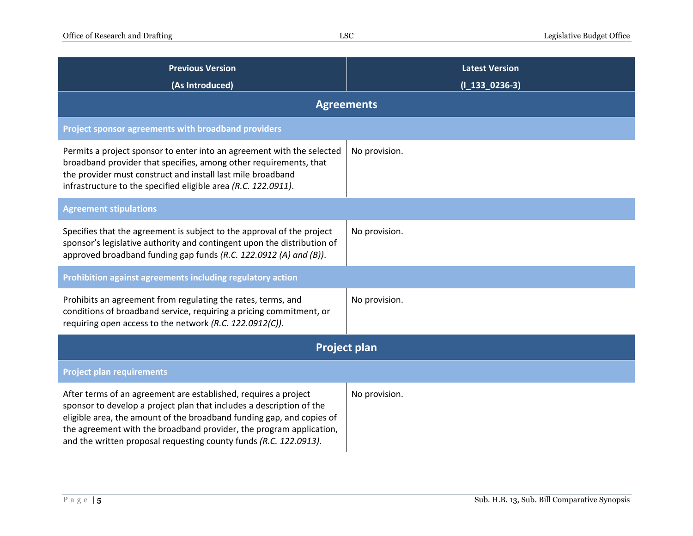| <b>Previous Version</b><br>(As Introduced)                                                                                                                                                                                                                                                                                                                   | <b>Latest Version</b><br>$(I_133_0236-3)$ |  |
|--------------------------------------------------------------------------------------------------------------------------------------------------------------------------------------------------------------------------------------------------------------------------------------------------------------------------------------------------------------|-------------------------------------------|--|
| <b>Agreements</b>                                                                                                                                                                                                                                                                                                                                            |                                           |  |
| Project sponsor agreements with broadband providers                                                                                                                                                                                                                                                                                                          |                                           |  |
| Permits a project sponsor to enter into an agreement with the selected<br>broadband provider that specifies, among other requirements, that<br>the provider must construct and install last mile broadband<br>infrastructure to the specified eligible area (R.C. 122.0911).                                                                                 | No provision.                             |  |
| <b>Agreement stipulations</b>                                                                                                                                                                                                                                                                                                                                |                                           |  |
| Specifies that the agreement is subject to the approval of the project<br>sponsor's legislative authority and contingent upon the distribution of<br>approved broadband funding gap funds (R.C. 122.0912 (A) and (B)).                                                                                                                                       | No provision.                             |  |
| Prohibition against agreements including regulatory action                                                                                                                                                                                                                                                                                                   |                                           |  |
| Prohibits an agreement from regulating the rates, terms, and<br>conditions of broadband service, requiring a pricing commitment, or<br>requiring open access to the network (R.C. 122.0912(C)).                                                                                                                                                              | No provision.                             |  |
| <b>Project plan</b>                                                                                                                                                                                                                                                                                                                                          |                                           |  |
| <b>Project plan requirements</b>                                                                                                                                                                                                                                                                                                                             |                                           |  |
| After terms of an agreement are established, requires a project<br>sponsor to develop a project plan that includes a description of the<br>eligible area, the amount of the broadband funding gap, and copies of<br>the agreement with the broadband provider, the program application,<br>and the written proposal requesting county funds (R.C. 122.0913). | No provision.                             |  |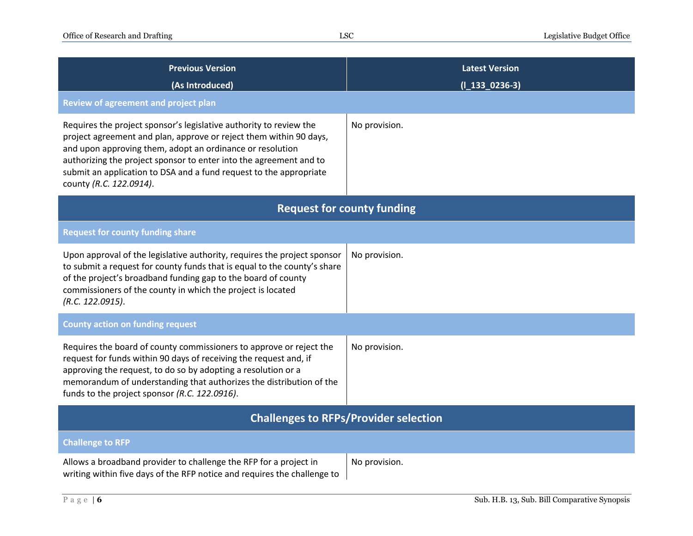| <b>Previous Version</b><br>(As Introduced)                                                                                                                                                                                                                                                                                                                                   | <b>Latest Version</b><br>$(I_133_0236-3)$ |  |
|------------------------------------------------------------------------------------------------------------------------------------------------------------------------------------------------------------------------------------------------------------------------------------------------------------------------------------------------------------------------------|-------------------------------------------|--|
| Review of agreement and project plan                                                                                                                                                                                                                                                                                                                                         |                                           |  |
| Requires the project sponsor's legislative authority to review the<br>project agreement and plan, approve or reject them within 90 days,<br>and upon approving them, adopt an ordinance or resolution<br>authorizing the project sponsor to enter into the agreement and to<br>submit an application to DSA and a fund request to the appropriate<br>county (R.C. 122.0914). | No provision.                             |  |
| <b>Request for county funding</b>                                                                                                                                                                                                                                                                                                                                            |                                           |  |
| <b>Request for county funding share</b>                                                                                                                                                                                                                                                                                                                                      |                                           |  |
| Upon approval of the legislative authority, requires the project sponsor<br>to submit a request for county funds that is equal to the county's share<br>of the project's broadband funding gap to the board of county<br>commissioners of the county in which the project is located<br>(R.C. 122.0915).                                                                     | No provision.                             |  |
| <b>County action on funding request</b>                                                                                                                                                                                                                                                                                                                                      |                                           |  |
| Requires the board of county commissioners to approve or reject the<br>request for funds within 90 days of receiving the request and, if<br>approving the request, to do so by adopting a resolution or a<br>memorandum of understanding that authorizes the distribution of the<br>funds to the project sponsor (R.C. 122.0916).                                            | No provision.                             |  |
| <b>Challenges to RFPs/Provider selection</b>                                                                                                                                                                                                                                                                                                                                 |                                           |  |
| <b>Challenge to RFP</b>                                                                                                                                                                                                                                                                                                                                                      |                                           |  |
| Allows a broadband provider to challenge the RFP for a project in<br>writing within five days of the RFP notice and requires the challenge to                                                                                                                                                                                                                                | No provision.                             |  |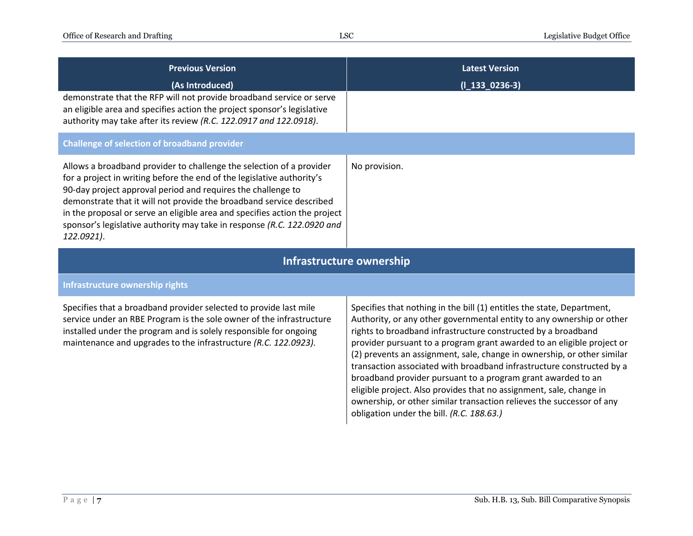| <b>Previous Version</b>                                                                                                                                                                                                                                                                                                                                                                                                                                       | <b>Latest Version</b>                                                                                                                                                                                                                                                                                                                                                                                                                                                                                                                                                                                                                                                                                       |  |
|---------------------------------------------------------------------------------------------------------------------------------------------------------------------------------------------------------------------------------------------------------------------------------------------------------------------------------------------------------------------------------------------------------------------------------------------------------------|-------------------------------------------------------------------------------------------------------------------------------------------------------------------------------------------------------------------------------------------------------------------------------------------------------------------------------------------------------------------------------------------------------------------------------------------------------------------------------------------------------------------------------------------------------------------------------------------------------------------------------------------------------------------------------------------------------------|--|
| (As Introduced)<br>demonstrate that the RFP will not provide broadband service or serve<br>an eligible area and specifies action the project sponsor's legislative<br>authority may take after its review (R.C. 122.0917 and 122.0918).                                                                                                                                                                                                                       | $(I_133_0236-3)$                                                                                                                                                                                                                                                                                                                                                                                                                                                                                                                                                                                                                                                                                            |  |
| Challenge of selection of broadband provider                                                                                                                                                                                                                                                                                                                                                                                                                  |                                                                                                                                                                                                                                                                                                                                                                                                                                                                                                                                                                                                                                                                                                             |  |
| Allows a broadband provider to challenge the selection of a provider<br>for a project in writing before the end of the legislative authority's<br>90-day project approval period and requires the challenge to<br>demonstrate that it will not provide the broadband service described<br>in the proposal or serve an eligible area and specifies action the project<br>sponsor's legislative authority may take in response (R.C. 122.0920 and<br>122.0921). | No provision.                                                                                                                                                                                                                                                                                                                                                                                                                                                                                                                                                                                                                                                                                               |  |
| Infrastructure ownership                                                                                                                                                                                                                                                                                                                                                                                                                                      |                                                                                                                                                                                                                                                                                                                                                                                                                                                                                                                                                                                                                                                                                                             |  |
| Infrastructure ownership rights                                                                                                                                                                                                                                                                                                                                                                                                                               |                                                                                                                                                                                                                                                                                                                                                                                                                                                                                                                                                                                                                                                                                                             |  |
| Specifies that a broadband provider selected to provide last mile<br>service under an RBE Program is the sole owner of the infrastructure<br>installed under the program and is solely responsible for ongoing<br>maintenance and upgrades to the infrastructure (R.C. 122.0923).                                                                                                                                                                             | Specifies that nothing in the bill (1) entitles the state, Department,<br>Authority, or any other governmental entity to any ownership or other<br>rights to broadband infrastructure constructed by a broadband<br>provider pursuant to a program grant awarded to an eligible project or<br>(2) prevents an assignment, sale, change in ownership, or other similar<br>transaction associated with broadband infrastructure constructed by a<br>broadband provider pursuant to a program grant awarded to an<br>eligible project. Also provides that no assignment, sale, change in<br>ownership, or other similar transaction relieves the successor of any<br>obligation under the bill. (R.C. 188.63.) |  |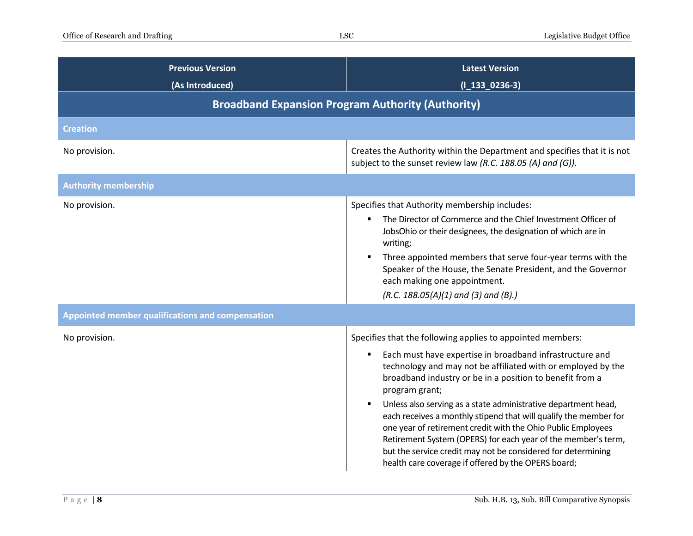| <b>Previous Version</b><br>(As Introduced)               | <b>Latest Version</b><br>$(I_133_0236-3)$                                                                                                                                                                                                                                                                                                                                                                                                                                                                                                                                                                                                                                                 |
|----------------------------------------------------------|-------------------------------------------------------------------------------------------------------------------------------------------------------------------------------------------------------------------------------------------------------------------------------------------------------------------------------------------------------------------------------------------------------------------------------------------------------------------------------------------------------------------------------------------------------------------------------------------------------------------------------------------------------------------------------------------|
| <b>Broadband Expansion Program Authority (Authority)</b> |                                                                                                                                                                                                                                                                                                                                                                                                                                                                                                                                                                                                                                                                                           |
| <b>Creation</b>                                          |                                                                                                                                                                                                                                                                                                                                                                                                                                                                                                                                                                                                                                                                                           |
| No provision.                                            | Creates the Authority within the Department and specifies that it is not<br>subject to the sunset review law (R.C. 188.05 (A) and (G)).                                                                                                                                                                                                                                                                                                                                                                                                                                                                                                                                                   |
| <b>Authority membership</b>                              |                                                                                                                                                                                                                                                                                                                                                                                                                                                                                                                                                                                                                                                                                           |
| No provision.                                            | Specifies that Authority membership includes:<br>The Director of Commerce and the Chief Investment Officer of<br>JobsOhio or their designees, the designation of which are in<br>writing;<br>Three appointed members that serve four-year terms with the<br>Speaker of the House, the Senate President, and the Governor<br>each making one appointment.<br>$(R.C. 188.05(A)(1)$ and (3) and (B).)                                                                                                                                                                                                                                                                                        |
| Appointed member qualifications and compensation         |                                                                                                                                                                                                                                                                                                                                                                                                                                                                                                                                                                                                                                                                                           |
| No provision.                                            | Specifies that the following applies to appointed members:<br>Each must have expertise in broadband infrastructure and<br>٠<br>technology and may not be affiliated with or employed by the<br>broadband industry or be in a position to benefit from a<br>program grant;<br>Unless also serving as a state administrative department head,<br>$\blacksquare$<br>each receives a monthly stipend that will qualify the member for<br>one year of retirement credit with the Ohio Public Employees<br>Retirement System (OPERS) for each year of the member's term,<br>but the service credit may not be considered for determining<br>health care coverage if offered by the OPERS board; |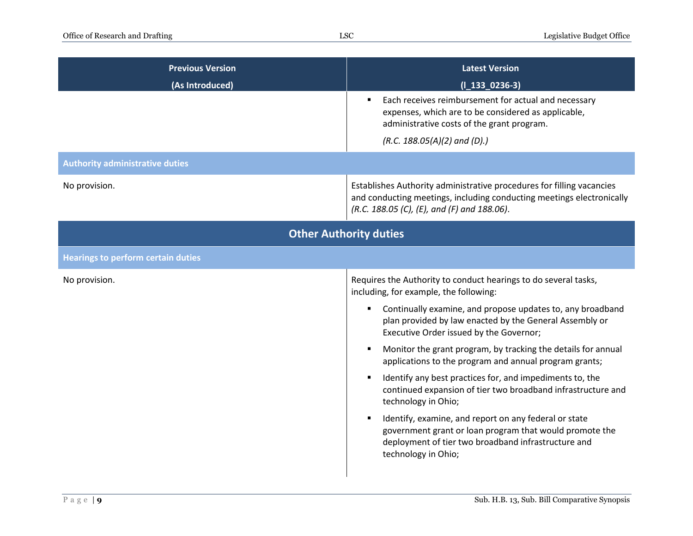| <b>Previous Version</b><br>(As Introduced) | <b>Latest Version</b><br>$(I_133_0236-3)$                                                                                                                                                      |
|--------------------------------------------|------------------------------------------------------------------------------------------------------------------------------------------------------------------------------------------------|
|                                            | Each receives reimbursement for actual and necessary<br>expenses, which are to be considered as applicable,<br>administrative costs of the grant program.<br>$(R.C. 188.05(A)(2)$ and $(D).$   |
| <b>Authority administrative duties</b>     |                                                                                                                                                                                                |
| No provision.                              | Establishes Authority administrative procedures for filling vacancies<br>and conducting meetings, including conducting meetings electronically<br>(R.C. 188.05 (C), (E), and (F) and 188.06).  |
|                                            | <b>Other Authority duties</b>                                                                                                                                                                  |
| <b>Hearings to perform certain duties</b>  |                                                                                                                                                                                                |
| No provision.                              | Requires the Authority to conduct hearings to do several tasks,<br>including, for example, the following:                                                                                      |
|                                            | Continually examine, and propose updates to, any broadband<br>plan provided by law enacted by the General Assembly or<br>Executive Order issued by the Governor;                               |
|                                            | Monitor the grant program, by tracking the details for annual<br>applications to the program and annual program grants;                                                                        |
|                                            | Identify any best practices for, and impediments to, the<br>continued expansion of tier two broadband infrastructure and<br>technology in Ohio;                                                |
|                                            | Identify, examine, and report on any federal or state<br>government grant or loan program that would promote the<br>deployment of tier two broadband infrastructure and<br>technology in Ohio; |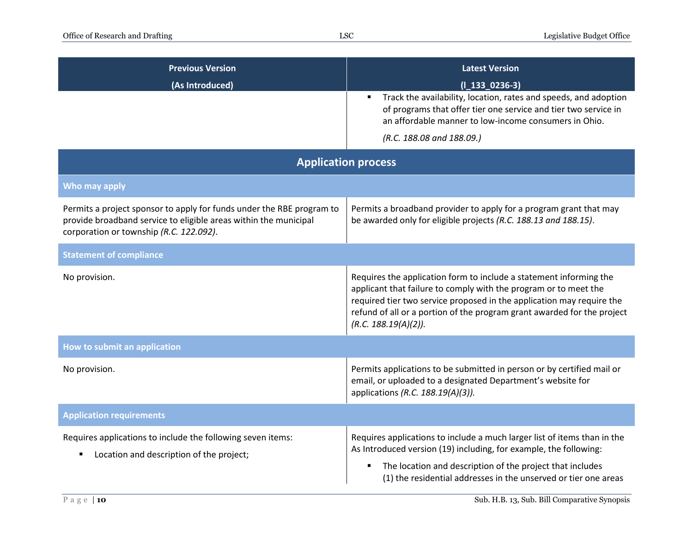| <b>Previous Version</b><br>(As Introduced)                                                                                                                                           | <b>Latest Version</b><br>$(I_133_0236-3)$<br>Track the availability, location, rates and speeds, and adoption<br>of programs that offer tier one service and tier two service in<br>an affordable manner to low-income consumers in Ohio.<br>(R.C. 188.08 and 188.09.)                                             |
|--------------------------------------------------------------------------------------------------------------------------------------------------------------------------------------|--------------------------------------------------------------------------------------------------------------------------------------------------------------------------------------------------------------------------------------------------------------------------------------------------------------------|
| <b>Application process</b>                                                                                                                                                           |                                                                                                                                                                                                                                                                                                                    |
| Who may apply                                                                                                                                                                        |                                                                                                                                                                                                                                                                                                                    |
| Permits a project sponsor to apply for funds under the RBE program to<br>provide broadband service to eligible areas within the municipal<br>corporation or township (R.C. 122.092). | Permits a broadband provider to apply for a program grant that may<br>be awarded only for eligible projects (R.C. 188.13 and 188.15).                                                                                                                                                                              |
| <b>Statement of compliance</b>                                                                                                                                                       |                                                                                                                                                                                                                                                                                                                    |
| No provision.                                                                                                                                                                        | Requires the application form to include a statement informing the<br>applicant that failure to comply with the program or to meet the<br>required tier two service proposed in the application may require the<br>refund of all or a portion of the program grant awarded for the project<br>(R.C. 188.19(A)(2)). |
| How to submit an application                                                                                                                                                         |                                                                                                                                                                                                                                                                                                                    |
| No provision.                                                                                                                                                                        | Permits applications to be submitted in person or by certified mail or<br>email, or uploaded to a designated Department's website for<br>applications (R.C. 188.19(A)(3)).                                                                                                                                         |
| <b>Application requirements</b>                                                                                                                                                      |                                                                                                                                                                                                                                                                                                                    |
| Requires applications to include the following seven items:<br>Location and description of the project;                                                                              | Requires applications to include a much larger list of items than in the<br>As Introduced version (19) including, for example, the following:<br>The location and description of the project that includes<br>(1) the residential addresses in the unserved or tier one areas                                      |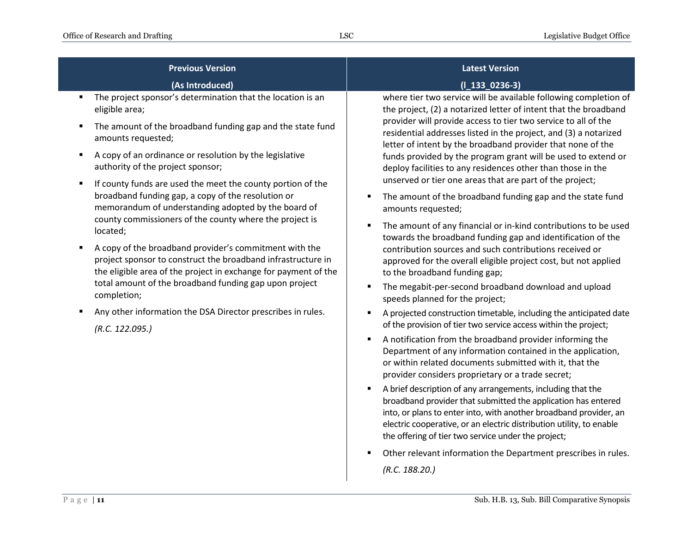| <b>Previous Version</b>                                                                                                                                                                   | <b>Latest Version</b>                                                                                                                                                                                                                                                          |
|-------------------------------------------------------------------------------------------------------------------------------------------------------------------------------------------|--------------------------------------------------------------------------------------------------------------------------------------------------------------------------------------------------------------------------------------------------------------------------------|
| (As Introduced)                                                                                                                                                                           | $(I_133_0236-3)$                                                                                                                                                                                                                                                               |
| The project sponsor's determination that the location is an<br>٠<br>eligible area;                                                                                                        | where tier two service will be available following completion of<br>the project, (2) a notarized letter of intent that the broadband                                                                                                                                           |
| The amount of the broadband funding gap and the state fund<br>Е<br>amounts requested;                                                                                                     | provider will provide access to tier two service to all of the<br>residential addresses listed in the project, and (3) a notarized<br>letter of intent by the broadband provider that none of the                                                                              |
| A copy of an ordinance or resolution by the legislative<br>п<br>authority of the project sponsor;                                                                                         | funds provided by the program grant will be used to extend or<br>deploy facilities to any residences other than those in the                                                                                                                                                   |
| If county funds are used the meet the county portion of the<br>п                                                                                                                          | unserved or tier one areas that are part of the project;                                                                                                                                                                                                                       |
| broadband funding gap, a copy of the resolution or<br>memorandum of understanding adopted by the board of                                                                                 | The amount of the broadband funding gap and the state fund<br>amounts requested;                                                                                                                                                                                               |
| county commissioners of the county where the project is<br>located;                                                                                                                       | The amount of any financial or in-kind contributions to be used<br>towards the broadband funding gap and identification of the                                                                                                                                                 |
| A copy of the broadband provider's commitment with the<br>project sponsor to construct the broadband infrastructure in<br>the eligible area of the project in exchange for payment of the | contribution sources and such contributions received or<br>approved for the overall eligible project cost, but not applied<br>to the broadband funding gap;                                                                                                                    |
| total amount of the broadband funding gap upon project<br>completion;                                                                                                                     | The megabit-per-second broadband download and upload<br>speeds planned for the project;                                                                                                                                                                                        |
| Any other information the DSA Director prescribes in rules.                                                                                                                               | A projected construction timetable, including the anticipated date                                                                                                                                                                                                             |
| (R.C. 122.095.)                                                                                                                                                                           | of the provision of tier two service access within the project;                                                                                                                                                                                                                |
|                                                                                                                                                                                           | A notification from the broadband provider informing the<br>П<br>Department of any information contained in the application,<br>or within related documents submitted with it, that the<br>provider considers proprietary or a trade secret;                                   |
|                                                                                                                                                                                           | A brief description of any arrangements, including that the<br>٠<br>broadband provider that submitted the application has entered<br>into, or plans to enter into, with another broadband provider, an<br>electric cooperative, or an electric distribution utility, to enable |

 Other relevant information the Department prescribes in rules. *(R.C. 188.20.)*

the offering of tier two service under the project;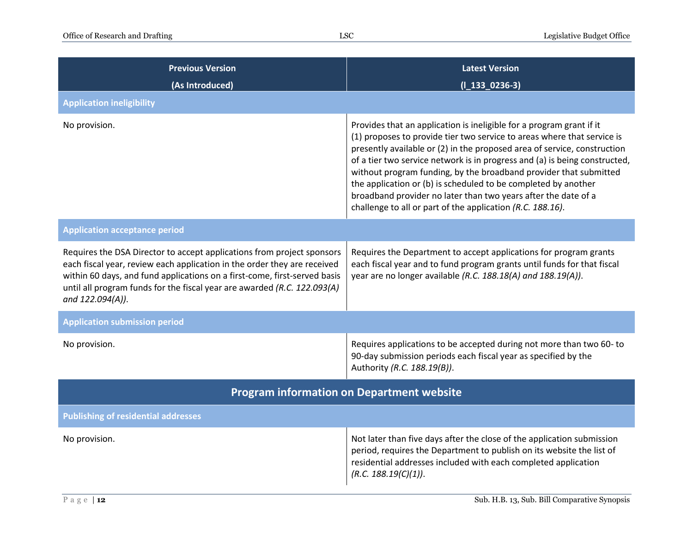| <b>Previous Version</b><br>(As Introduced)                                                                                                                                                                                                                                                                                      | <b>Latest Version</b><br>$(I_133_0236-3)$                                                                                                                                                                                                                                                                                                                                                                                                                                                                                                                                        |
|---------------------------------------------------------------------------------------------------------------------------------------------------------------------------------------------------------------------------------------------------------------------------------------------------------------------------------|----------------------------------------------------------------------------------------------------------------------------------------------------------------------------------------------------------------------------------------------------------------------------------------------------------------------------------------------------------------------------------------------------------------------------------------------------------------------------------------------------------------------------------------------------------------------------------|
| <b>Application ineligibility</b>                                                                                                                                                                                                                                                                                                |                                                                                                                                                                                                                                                                                                                                                                                                                                                                                                                                                                                  |
| No provision.                                                                                                                                                                                                                                                                                                                   | Provides that an application is ineligible for a program grant if it<br>(1) proposes to provide tier two service to areas where that service is<br>presently available or (2) in the proposed area of service, construction<br>of a tier two service network is in progress and (a) is being constructed,<br>without program funding, by the broadband provider that submitted<br>the application or (b) is scheduled to be completed by another<br>broadband provider no later than two years after the date of a<br>challenge to all or part of the application (R.C. 188.16). |
| <b>Application acceptance period</b>                                                                                                                                                                                                                                                                                            |                                                                                                                                                                                                                                                                                                                                                                                                                                                                                                                                                                                  |
| Requires the DSA Director to accept applications from project sponsors<br>each fiscal year, review each application in the order they are received<br>within 60 days, and fund applications on a first-come, first-served basis<br>until all program funds for the fiscal year are awarded (R.C. 122.093(A)<br>and 122.094(A)). | Requires the Department to accept applications for program grants<br>each fiscal year and to fund program grants until funds for that fiscal<br>year are no longer available (R.C. 188.18(A) and 188.19(A)).                                                                                                                                                                                                                                                                                                                                                                     |
| <b>Application submission period</b>                                                                                                                                                                                                                                                                                            |                                                                                                                                                                                                                                                                                                                                                                                                                                                                                                                                                                                  |
| No provision.                                                                                                                                                                                                                                                                                                                   | Requires applications to be accepted during not more than two 60- to<br>90-day submission periods each fiscal year as specified by the<br>Authority (R.C. 188.19(B)).                                                                                                                                                                                                                                                                                                                                                                                                            |
| <b>Program information on Department website</b>                                                                                                                                                                                                                                                                                |                                                                                                                                                                                                                                                                                                                                                                                                                                                                                                                                                                                  |
| <b>Publishing of residential addresses</b>                                                                                                                                                                                                                                                                                      |                                                                                                                                                                                                                                                                                                                                                                                                                                                                                                                                                                                  |
| No provision.                                                                                                                                                                                                                                                                                                                   | Not later than five days after the close of the application submission<br>period, requires the Department to publish on its website the list of<br>residential addresses included with each completed application<br>(R.C. 188.19(C)(1)).                                                                                                                                                                                                                                                                                                                                        |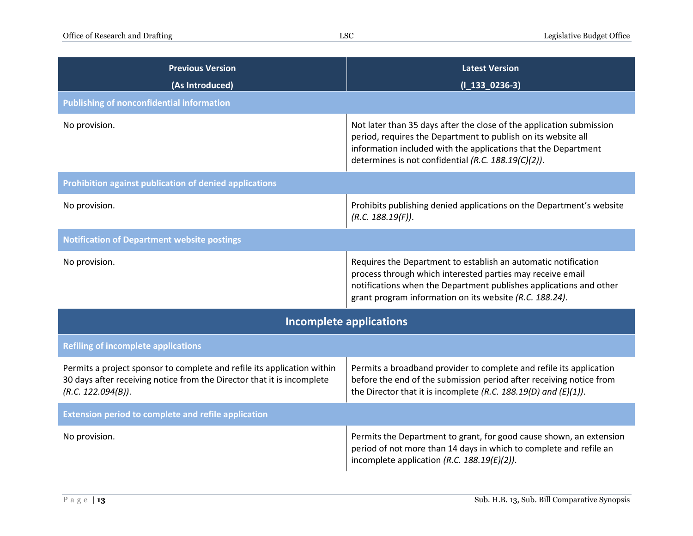| <b>Previous Version</b><br>(As Introduced)                                                                                                                              | <b>Latest Version</b><br>$(I_133_0236-3)$                                                                                                                                                                                                                      |  |
|-------------------------------------------------------------------------------------------------------------------------------------------------------------------------|----------------------------------------------------------------------------------------------------------------------------------------------------------------------------------------------------------------------------------------------------------------|--|
| <b>Publishing of nonconfidential information</b>                                                                                                                        |                                                                                                                                                                                                                                                                |  |
| No provision.                                                                                                                                                           | Not later than 35 days after the close of the application submission<br>period, requires the Department to publish on its website all<br>information included with the applications that the Department<br>determines is not confidential (R.C. 188.19(C)(2)). |  |
| Prohibition against publication of denied applications                                                                                                                  |                                                                                                                                                                                                                                                                |  |
| No provision.                                                                                                                                                           | Prohibits publishing denied applications on the Department's website<br>(R.C. 188.19(F)).                                                                                                                                                                      |  |
| <b>Notification of Department website postings</b>                                                                                                                      |                                                                                                                                                                                                                                                                |  |
| No provision.                                                                                                                                                           | Requires the Department to establish an automatic notification<br>process through which interested parties may receive email<br>notifications when the Department publishes applications and other<br>grant program information on its website (R.C. 188.24).  |  |
| <b>Incomplete applications</b>                                                                                                                                          |                                                                                                                                                                                                                                                                |  |
| <b>Refiling of incomplete applications</b>                                                                                                                              |                                                                                                                                                                                                                                                                |  |
| Permits a project sponsor to complete and refile its application within<br>30 days after receiving notice from the Director that it is incomplete<br>(R.C. 122.094(B)). | Permits a broadband provider to complete and refile its application<br>before the end of the submission period after receiving notice from<br>the Director that it is incomplete (R.C. 188.19(D) and (E)(1)).                                                  |  |
| <b>Extension period to complete and refile application</b>                                                                                                              |                                                                                                                                                                                                                                                                |  |
| No provision.                                                                                                                                                           | Permits the Department to grant, for good cause shown, an extension<br>period of not more than 14 days in which to complete and refile an<br>incomplete application (R.C. $188.19(E)(2)$ ).                                                                    |  |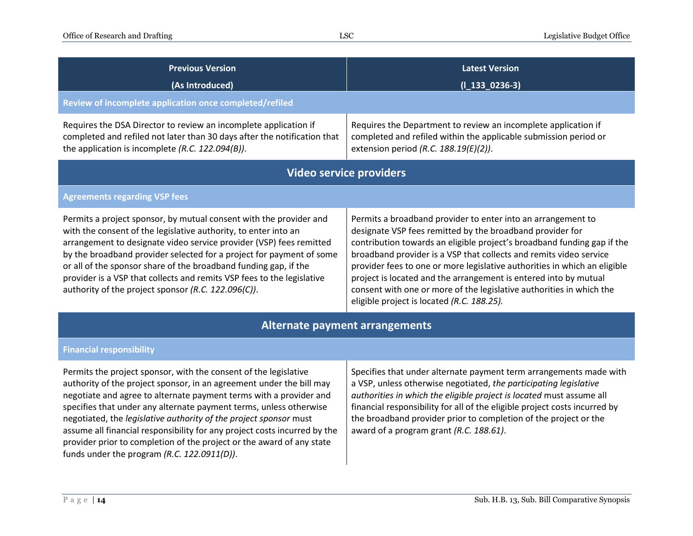| <b>Previous Version</b><br>(As Introduced)                                                                                                                                                                                                                                                                                                                                                                                                                                                                                                                     | <b>Latest Version</b><br>$(I_133_0236-3)$                                                                                                                                                                                                                                                                                                                                                                                                                                                                                                         |  |
|----------------------------------------------------------------------------------------------------------------------------------------------------------------------------------------------------------------------------------------------------------------------------------------------------------------------------------------------------------------------------------------------------------------------------------------------------------------------------------------------------------------------------------------------------------------|---------------------------------------------------------------------------------------------------------------------------------------------------------------------------------------------------------------------------------------------------------------------------------------------------------------------------------------------------------------------------------------------------------------------------------------------------------------------------------------------------------------------------------------------------|--|
| Review of incomplete application once completed/refiled                                                                                                                                                                                                                                                                                                                                                                                                                                                                                                        |                                                                                                                                                                                                                                                                                                                                                                                                                                                                                                                                                   |  |
| Requires the DSA Director to review an incomplete application if<br>completed and refiled not later than 30 days after the notification that<br>the application is incomplete $(R.C. 122.094(B)).$                                                                                                                                                                                                                                                                                                                                                             | Requires the Department to review an incomplete application if<br>completed and refiled within the applicable submission period or<br>extension period (R.C. 188.19(E)(2)).                                                                                                                                                                                                                                                                                                                                                                       |  |
|                                                                                                                                                                                                                                                                                                                                                                                                                                                                                                                                                                | <b>Video service providers</b>                                                                                                                                                                                                                                                                                                                                                                                                                                                                                                                    |  |
| <b>Agreements regarding VSP fees</b>                                                                                                                                                                                                                                                                                                                                                                                                                                                                                                                           |                                                                                                                                                                                                                                                                                                                                                                                                                                                                                                                                                   |  |
| Permits a project sponsor, by mutual consent with the provider and<br>with the consent of the legislative authority, to enter into an<br>arrangement to designate video service provider (VSP) fees remitted<br>by the broadband provider selected for a project for payment of some<br>or all of the sponsor share of the broadband funding gap, if the<br>provider is a VSP that collects and remits VSP fees to the legislative<br>authority of the project sponsor (R.C. 122.096(C)).                                                                      | Permits a broadband provider to enter into an arrangement to<br>designate VSP fees remitted by the broadband provider for<br>contribution towards an eligible project's broadband funding gap if the<br>broadband provider is a VSP that collects and remits video service<br>provider fees to one or more legislative authorities in which an eligible<br>project is located and the arrangement is entered into by mutual<br>consent with one or more of the legislative authorities in which the<br>eligible project is located (R.C. 188.25). |  |
| <b>Alternate payment arrangements</b>                                                                                                                                                                                                                                                                                                                                                                                                                                                                                                                          |                                                                                                                                                                                                                                                                                                                                                                                                                                                                                                                                                   |  |
| <b>Financial responsibility</b>                                                                                                                                                                                                                                                                                                                                                                                                                                                                                                                                |                                                                                                                                                                                                                                                                                                                                                                                                                                                                                                                                                   |  |
| Permits the project sponsor, with the consent of the legislative<br>authority of the project sponsor, in an agreement under the bill may<br>negotiate and agree to alternate payment terms with a provider and<br>specifies that under any alternate payment terms, unless otherwise<br>negotiated, the legislative authority of the project sponsor must<br>assume all financial responsibility for any project costs incurred by the<br>provider prior to completion of the project or the award of any state<br>funds under the program (R.C. 122.0911(D)). | Specifies that under alternate payment term arrangements made with<br>a VSP, unless otherwise negotiated, the participating legislative<br>authorities in which the eligible project is located must assume all<br>financial responsibility for all of the eligible project costs incurred by<br>the broadband provider prior to completion of the project or the<br>award of a program grant (R.C. 188.61).                                                                                                                                      |  |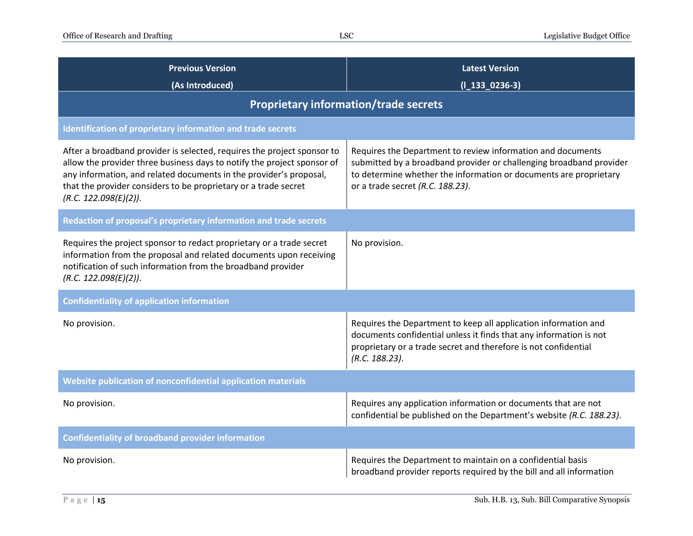| <b>Previous Version</b><br>(As Introduced)                                                                                                                                                                                                                                                                           | <b>Latest Version</b><br>$(I_133_0236-3)$                                                                                                                                                                                                   |  |
|----------------------------------------------------------------------------------------------------------------------------------------------------------------------------------------------------------------------------------------------------------------------------------------------------------------------|---------------------------------------------------------------------------------------------------------------------------------------------------------------------------------------------------------------------------------------------|--|
| <b>Proprietary information/trade secrets</b>                                                                                                                                                                                                                                                                         |                                                                                                                                                                                                                                             |  |
| <b>Identification of proprietary information and trade secrets</b>                                                                                                                                                                                                                                                   |                                                                                                                                                                                                                                             |  |
| After a broadband provider is selected, requires the project sponsor to<br>allow the provider three business days to notify the project sponsor of<br>any information, and related documents in the provider's proposal,<br>that the provider considers to be proprietary or a trade secret<br>(R.C. 122.098(E)(2)). | Requires the Department to review information and documents<br>submitted by a broadband provider or challenging broadband provider<br>to determine whether the information or documents are proprietary<br>or a trade secret (R.C. 188.23). |  |
| Redaction of proposal's proprietary information and trade secrets                                                                                                                                                                                                                                                    |                                                                                                                                                                                                                                             |  |
| Requires the project sponsor to redact proprietary or a trade secret<br>information from the proposal and related documents upon receiving<br>notification of such information from the broadband provider<br>(R.C. 122.098(E)(2)).                                                                                  | No provision.                                                                                                                                                                                                                               |  |
| <b>Confidentiality of application information</b>                                                                                                                                                                                                                                                                    |                                                                                                                                                                                                                                             |  |
| No provision.                                                                                                                                                                                                                                                                                                        | Requires the Department to keep all application information and<br>documents confidential unless it finds that any information is not<br>proprietary or a trade secret and therefore is not confidential<br>(R.C. 188.23).                  |  |
| Website publication of nonconfidential application materials                                                                                                                                                                                                                                                         |                                                                                                                                                                                                                                             |  |
| No provision.                                                                                                                                                                                                                                                                                                        | Requires any application information or documents that are not<br>confidential be published on the Department's website (R.C. 188.23).                                                                                                      |  |
| <b>Confidentiality of broadband provider information</b>                                                                                                                                                                                                                                                             |                                                                                                                                                                                                                                             |  |
| No provision.                                                                                                                                                                                                                                                                                                        | Requires the Department to maintain on a confidential basis<br>broadband provider reports required by the bill and all information                                                                                                          |  |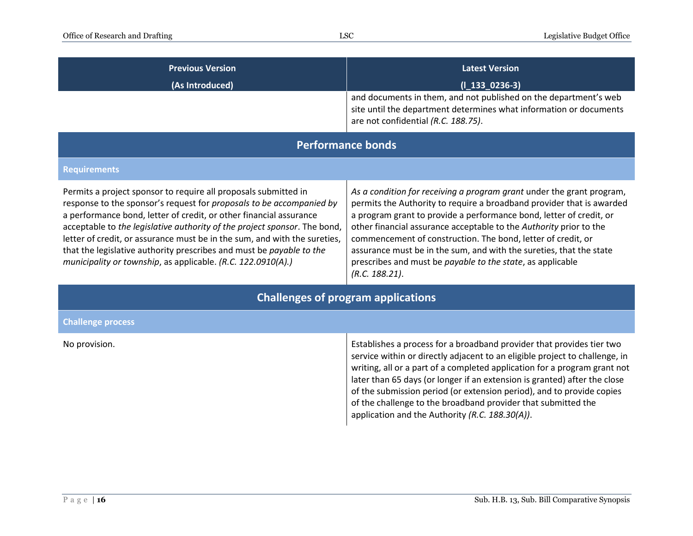| <b>Previous Version</b><br>(As Introduced)                                                                                                                                                                                                                                                                                                                                                                                                                                                                      | <b>Latest Version</b><br>$(I_133_0236-3)$<br>and documents in them, and not published on the department's web<br>site until the department determines what information or documents<br>are not confidential (R.C. 188.75).                                                                                                                                                                                                                                                                                         |  |
|-----------------------------------------------------------------------------------------------------------------------------------------------------------------------------------------------------------------------------------------------------------------------------------------------------------------------------------------------------------------------------------------------------------------------------------------------------------------------------------------------------------------|--------------------------------------------------------------------------------------------------------------------------------------------------------------------------------------------------------------------------------------------------------------------------------------------------------------------------------------------------------------------------------------------------------------------------------------------------------------------------------------------------------------------|--|
| <b>Performance bonds</b>                                                                                                                                                                                                                                                                                                                                                                                                                                                                                        |                                                                                                                                                                                                                                                                                                                                                                                                                                                                                                                    |  |
| <b>Requirements</b>                                                                                                                                                                                                                                                                                                                                                                                                                                                                                             |                                                                                                                                                                                                                                                                                                                                                                                                                                                                                                                    |  |
| Permits a project sponsor to require all proposals submitted in<br>response to the sponsor's request for proposals to be accompanied by<br>a performance bond, letter of credit, or other financial assurance<br>acceptable to the legislative authority of the project sponsor. The bond,<br>letter of credit, or assurance must be in the sum, and with the sureties,<br>that the legislative authority prescribes and must be payable to the<br>municipality or township, as applicable. (R.C. 122.0910(A).) | As a condition for receiving a program grant under the grant program,<br>permits the Authority to require a broadband provider that is awarded<br>a program grant to provide a performance bond, letter of credit, or<br>other financial assurance acceptable to the Authority prior to the<br>commencement of construction. The bond, letter of credit, or<br>assurance must be in the sum, and with the sureties, that the state<br>prescribes and must be payable to the state, as applicable<br>(R.C. 188.21). |  |
| <b>Challenges of program applications</b>                                                                                                                                                                                                                                                                                                                                                                                                                                                                       |                                                                                                                                                                                                                                                                                                                                                                                                                                                                                                                    |  |
| <b>Challenge process</b>                                                                                                                                                                                                                                                                                                                                                                                                                                                                                        |                                                                                                                                                                                                                                                                                                                                                                                                                                                                                                                    |  |
| No provision.                                                                                                                                                                                                                                                                                                                                                                                                                                                                                                   | Establishes a process for a broadband provider that provides tier two<br>service within or directly adjacent to an eligible project to challenge, in<br>writing, all or a part of a completed application for a program grant not<br>later than 65 days (or longer if an extension is granted) after the close<br>of the submission period (or extension period), and to provide copies<br>of the challenge to the broadband provider that submitted the<br>application and the Authority (R.C. 188.30(A)).        |  |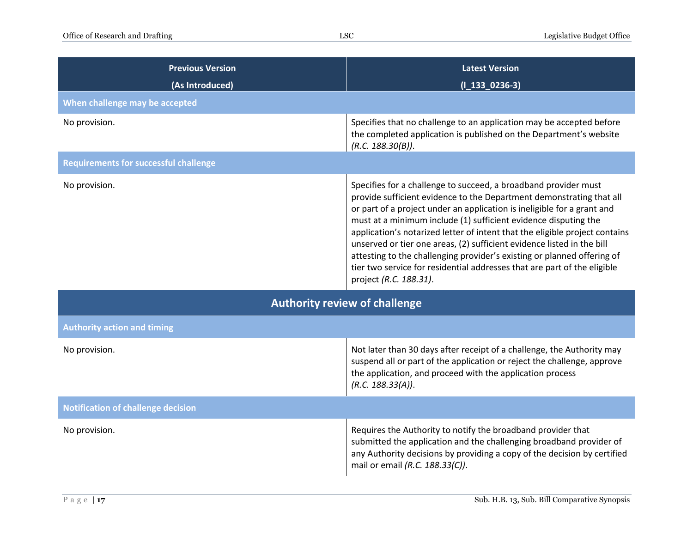| <b>Previous Version</b><br>(As Introduced)   | <b>Latest Version</b><br>$(I_133_0236-3)$                                                                                                                                                                                                                                                                                                                                                                                                                                                                                                                                                                                       |  |
|----------------------------------------------|---------------------------------------------------------------------------------------------------------------------------------------------------------------------------------------------------------------------------------------------------------------------------------------------------------------------------------------------------------------------------------------------------------------------------------------------------------------------------------------------------------------------------------------------------------------------------------------------------------------------------------|--|
| When challenge may be accepted               |                                                                                                                                                                                                                                                                                                                                                                                                                                                                                                                                                                                                                                 |  |
| No provision.                                | Specifies that no challenge to an application may be accepted before<br>the completed application is published on the Department's website<br>(R.C. 188.30(B)).                                                                                                                                                                                                                                                                                                                                                                                                                                                                 |  |
| <b>Requirements for successful challenge</b> |                                                                                                                                                                                                                                                                                                                                                                                                                                                                                                                                                                                                                                 |  |
| No provision.                                | Specifies for a challenge to succeed, a broadband provider must<br>provide sufficient evidence to the Department demonstrating that all<br>or part of a project under an application is ineligible for a grant and<br>must at a minimum include (1) sufficient evidence disputing the<br>application's notarized letter of intent that the eligible project contains<br>unserved or tier one areas, (2) sufficient evidence listed in the bill<br>attesting to the challenging provider's existing or planned offering of<br>tier two service for residential addresses that are part of the eligible<br>project (R.C. 188.31). |  |
| <b>Authority review of challenge</b>         |                                                                                                                                                                                                                                                                                                                                                                                                                                                                                                                                                                                                                                 |  |
| <b>Authority action and timing</b>           |                                                                                                                                                                                                                                                                                                                                                                                                                                                                                                                                                                                                                                 |  |
| No provision.                                | Not later than 30 days after receipt of a challenge, the Authority may<br>suspend all or part of the application or reject the challenge, approve<br>the application, and proceed with the application process<br>(R.C. 188.33(A)).                                                                                                                                                                                                                                                                                                                                                                                             |  |
| <b>Notification of challenge decision</b>    |                                                                                                                                                                                                                                                                                                                                                                                                                                                                                                                                                                                                                                 |  |
| No provision.                                | Requires the Authority to notify the broadband provider that<br>submitted the application and the challenging broadband provider of<br>any Authority decisions by providing a copy of the decision by certified<br>mail or email (R.C. 188.33(C)).                                                                                                                                                                                                                                                                                                                                                                              |  |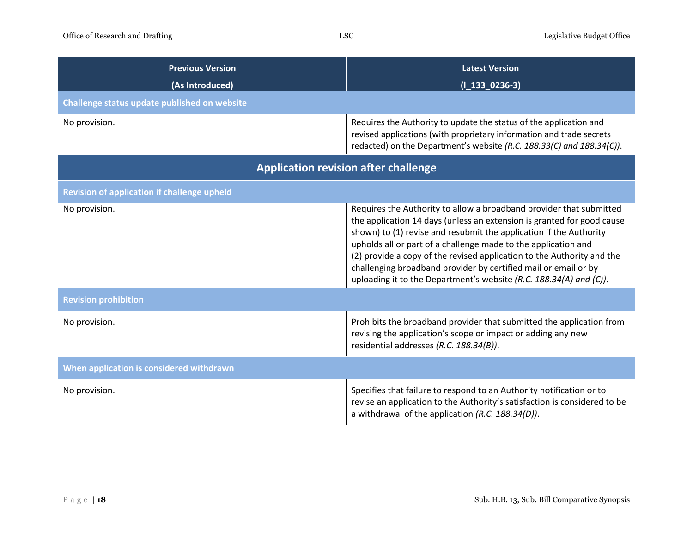| <b>Previous Version</b><br>(As Introduced)         | <b>Latest Version</b><br>$(I_133_0236-3)$                                                                                                                                                                                                                                                                                                                                                                                                                                                                |  |
|----------------------------------------------------|----------------------------------------------------------------------------------------------------------------------------------------------------------------------------------------------------------------------------------------------------------------------------------------------------------------------------------------------------------------------------------------------------------------------------------------------------------------------------------------------------------|--|
| Challenge status update published on website       |                                                                                                                                                                                                                                                                                                                                                                                                                                                                                                          |  |
| No provision.                                      | Requires the Authority to update the status of the application and<br>revised applications (with proprietary information and trade secrets<br>redacted) on the Department's website (R.C. 188.33(C) and 188.34(C)).                                                                                                                                                                                                                                                                                      |  |
| <b>Application revision after challenge</b>        |                                                                                                                                                                                                                                                                                                                                                                                                                                                                                                          |  |
| <b>Revision of application if challenge upheld</b> |                                                                                                                                                                                                                                                                                                                                                                                                                                                                                                          |  |
| No provision.                                      | Requires the Authority to allow a broadband provider that submitted<br>the application 14 days (unless an extension is granted for good cause<br>shown) to (1) revise and resubmit the application if the Authority<br>upholds all or part of a challenge made to the application and<br>(2) provide a copy of the revised application to the Authority and the<br>challenging broadband provider by certified mail or email or by<br>uploading it to the Department's website (R.C. 188.34(A) and (C)). |  |
| <b>Revision prohibition</b>                        |                                                                                                                                                                                                                                                                                                                                                                                                                                                                                                          |  |
| No provision.                                      | Prohibits the broadband provider that submitted the application from<br>revising the application's scope or impact or adding any new<br>residential addresses (R.C. 188.34(B)).                                                                                                                                                                                                                                                                                                                          |  |
| When application is considered withdrawn           |                                                                                                                                                                                                                                                                                                                                                                                                                                                                                                          |  |
| No provision.                                      | Specifies that failure to respond to an Authority notification or to<br>revise an application to the Authority's satisfaction is considered to be<br>a withdrawal of the application (R.C. 188.34(D)).                                                                                                                                                                                                                                                                                                   |  |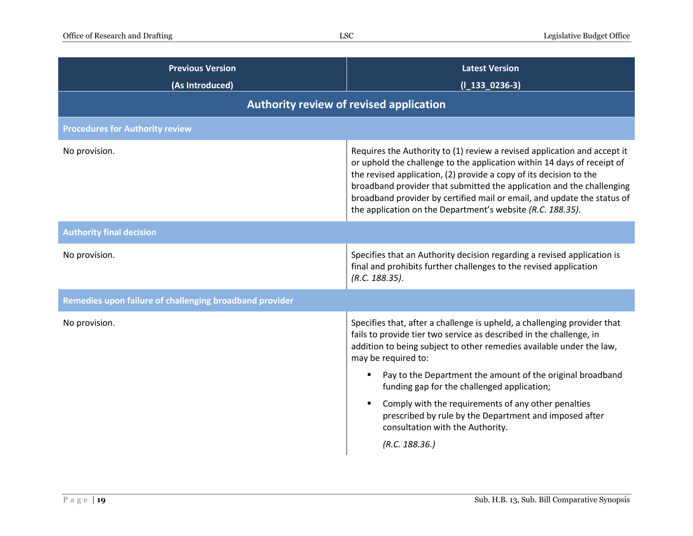| <b>Previous Version</b><br>(As Introduced)              | <b>Latest Version</b><br>$(I_133_0236-3)$                                                                                                                                                                                                                                                                                                                                                                                                   |
|---------------------------------------------------------|---------------------------------------------------------------------------------------------------------------------------------------------------------------------------------------------------------------------------------------------------------------------------------------------------------------------------------------------------------------------------------------------------------------------------------------------|
| Authority review of revised application                 |                                                                                                                                                                                                                                                                                                                                                                                                                                             |
| <b>Procedures for Authority review</b>                  |                                                                                                                                                                                                                                                                                                                                                                                                                                             |
| No provision.                                           | Requires the Authority to (1) review a revised application and accept it<br>or uphold the challenge to the application within 14 days of receipt of<br>the revised application, (2) provide a copy of its decision to the<br>broadband provider that submitted the application and the challenging<br>broadband provider by certified mail or email, and update the status of<br>the application on the Department's website (R.C. 188.35). |
| <b>Authority final decision</b>                         |                                                                                                                                                                                                                                                                                                                                                                                                                                             |
| No provision.                                           | Specifies that an Authority decision regarding a revised application is<br>final and prohibits further challenges to the revised application<br>(R.C. 188.35).                                                                                                                                                                                                                                                                              |
| Remedies upon failure of challenging broadband provider |                                                                                                                                                                                                                                                                                                                                                                                                                                             |
| No provision.                                           | Specifies that, after a challenge is upheld, a challenging provider that<br>fails to provide tier two service as described in the challenge, in<br>addition to being subject to other remedies available under the law,<br>may be required to:<br>Pay to the Department the amount of the original broadband<br>funding gap for the challenged application;<br>Comply with the requirements of any other penalties                          |
|                                                         | prescribed by rule by the Department and imposed after<br>consultation with the Authority.<br>(R.C. 188.36.)                                                                                                                                                                                                                                                                                                                                |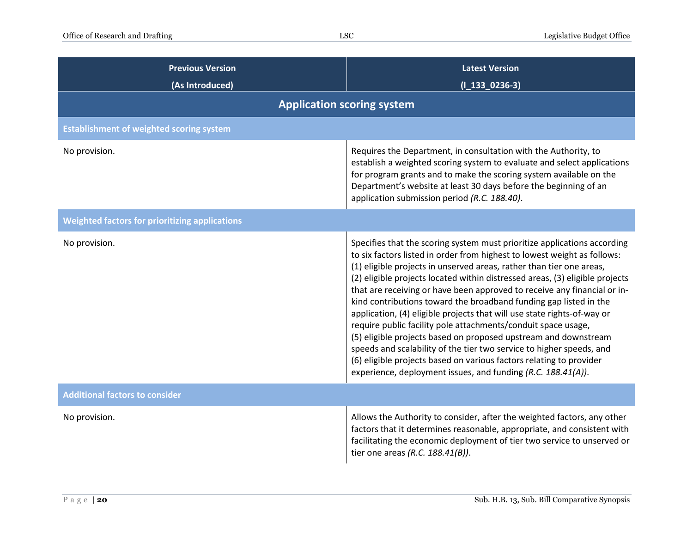| <b>Previous Version</b><br>(As Introduced)            | <b>Latest Version</b><br>$(I_133_0236-3)$                                                                                                                                                                                                                                                                                                                                                                                                                                                                                                                                                                                                                                                                                                                                                                                                                                                   |  |
|-------------------------------------------------------|---------------------------------------------------------------------------------------------------------------------------------------------------------------------------------------------------------------------------------------------------------------------------------------------------------------------------------------------------------------------------------------------------------------------------------------------------------------------------------------------------------------------------------------------------------------------------------------------------------------------------------------------------------------------------------------------------------------------------------------------------------------------------------------------------------------------------------------------------------------------------------------------|--|
|                                                       | <b>Application scoring system</b>                                                                                                                                                                                                                                                                                                                                                                                                                                                                                                                                                                                                                                                                                                                                                                                                                                                           |  |
| <b>Establishment of weighted scoring system</b>       |                                                                                                                                                                                                                                                                                                                                                                                                                                                                                                                                                                                                                                                                                                                                                                                                                                                                                             |  |
| No provision.                                         | Requires the Department, in consultation with the Authority, to<br>establish a weighted scoring system to evaluate and select applications<br>for program grants and to make the scoring system available on the<br>Department's website at least 30 days before the beginning of an<br>application submission period (R.C. 188.40).                                                                                                                                                                                                                                                                                                                                                                                                                                                                                                                                                        |  |
| <b>Weighted factors for prioritizing applications</b> |                                                                                                                                                                                                                                                                                                                                                                                                                                                                                                                                                                                                                                                                                                                                                                                                                                                                                             |  |
| No provision.                                         | Specifies that the scoring system must prioritize applications according<br>to six factors listed in order from highest to lowest weight as follows:<br>(1) eligible projects in unserved areas, rather than tier one areas,<br>(2) eligible projects located within distressed areas, (3) eligible projects<br>that are receiving or have been approved to receive any financial or in-<br>kind contributions toward the broadband funding gap listed in the<br>application, (4) eligible projects that will use state rights-of-way or<br>require public facility pole attachments/conduit space usage,<br>(5) eligible projects based on proposed upstream and downstream<br>speeds and scalability of the tier two service to higher speeds, and<br>(6) eligible projects based on various factors relating to provider<br>experience, deployment issues, and funding (R.C. 188.41(A)). |  |
| <b>Additional factors to consider</b>                 |                                                                                                                                                                                                                                                                                                                                                                                                                                                                                                                                                                                                                                                                                                                                                                                                                                                                                             |  |
| No provision.                                         | Allows the Authority to consider, after the weighted factors, any other<br>factors that it determines reasonable, appropriate, and consistent with<br>facilitating the economic deployment of tier two service to unserved or<br>tier one areas (R.C. $188.41(B)$ ).                                                                                                                                                                                                                                                                                                                                                                                                                                                                                                                                                                                                                        |  |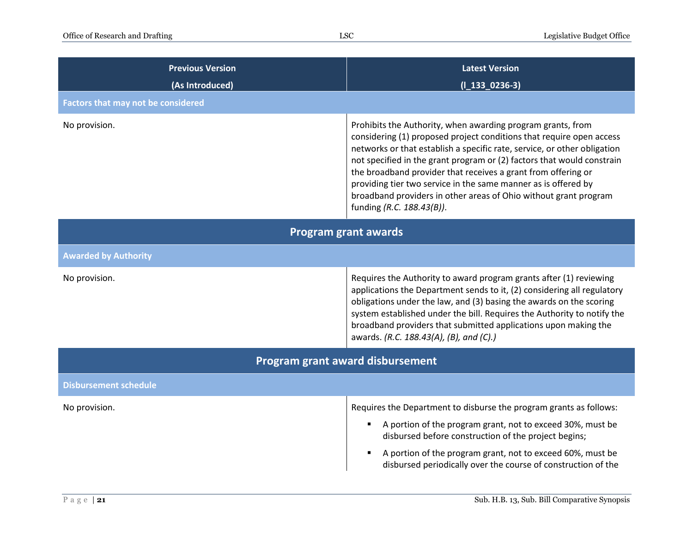| <b>Previous Version</b><br>(As Introduced) | <b>Latest Version</b><br>$(I_133_0236-3)$                                                                                                                                                                                                                                                                                                                                                                                                                                                                                     |
|--------------------------------------------|-------------------------------------------------------------------------------------------------------------------------------------------------------------------------------------------------------------------------------------------------------------------------------------------------------------------------------------------------------------------------------------------------------------------------------------------------------------------------------------------------------------------------------|
| <b>Factors that may not be considered</b>  |                                                                                                                                                                                                                                                                                                                                                                                                                                                                                                                               |
| No provision.                              | Prohibits the Authority, when awarding program grants, from<br>considering (1) proposed project conditions that require open access<br>networks or that establish a specific rate, service, or other obligation<br>not specified in the grant program or (2) factors that would constrain<br>the broadband provider that receives a grant from offering or<br>providing tier two service in the same manner as is offered by<br>broadband providers in other areas of Ohio without grant program<br>funding (R.C. 188.43(B)). |
| <b>Program grant awards</b>                |                                                                                                                                                                                                                                                                                                                                                                                                                                                                                                                               |
| <b>Awarded by Authority</b>                |                                                                                                                                                                                                                                                                                                                                                                                                                                                                                                                               |
| No provision.                              | Requires the Authority to award program grants after (1) reviewing<br>applications the Department sends to it, (2) considering all regulatory<br>obligations under the law, and (3) basing the awards on the scoring<br>system established under the bill. Requires the Authority to notify the<br>broadband providers that submitted applications upon making the<br>awards. (R.C. 188.43(A), (B), and (C).)                                                                                                                 |
| Program grant award disbursement           |                                                                                                                                                                                                                                                                                                                                                                                                                                                                                                                               |
| <b>Disbursement schedule</b>               |                                                                                                                                                                                                                                                                                                                                                                                                                                                                                                                               |
| No provision.                              | Requires the Department to disburse the program grants as follows:                                                                                                                                                                                                                                                                                                                                                                                                                                                            |
|                                            | A portion of the program grant, not to exceed 30%, must be<br>disbursed before construction of the project begins;                                                                                                                                                                                                                                                                                                                                                                                                            |
|                                            | A portion of the program grant, not to exceed 60%, must be<br>disbursed periodically over the course of construction of the                                                                                                                                                                                                                                                                                                                                                                                                   |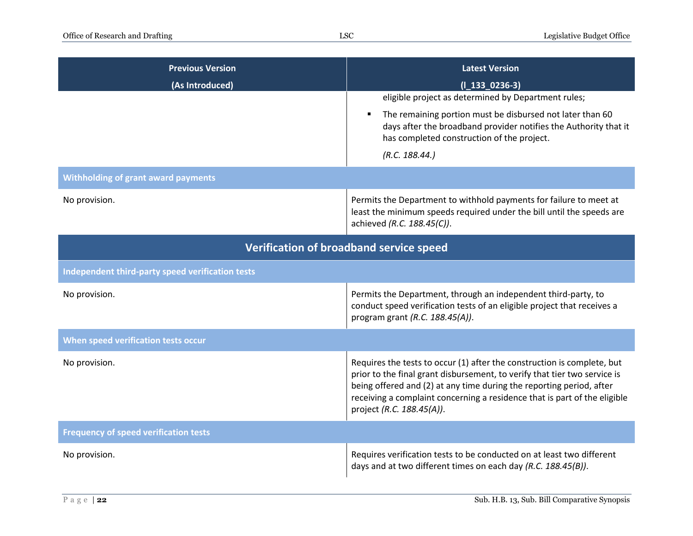| <b>Previous Version</b>                          | <b>Latest Version</b>                                                                                                                                                                                                                                                                                                                  |
|--------------------------------------------------|----------------------------------------------------------------------------------------------------------------------------------------------------------------------------------------------------------------------------------------------------------------------------------------------------------------------------------------|
| (As Introduced)                                  | $(I_133_0236-3)$                                                                                                                                                                                                                                                                                                                       |
|                                                  | eligible project as determined by Department rules;                                                                                                                                                                                                                                                                                    |
|                                                  | The remaining portion must be disbursed not later than 60<br>٠<br>days after the broadband provider notifies the Authority that it<br>has completed construction of the project.                                                                                                                                                       |
|                                                  | (R.C. 188.44.)                                                                                                                                                                                                                                                                                                                         |
| <b>Withholding of grant award payments</b>       |                                                                                                                                                                                                                                                                                                                                        |
| No provision.                                    | Permits the Department to withhold payments for failure to meet at<br>least the minimum speeds required under the bill until the speeds are<br>achieved (R.C. 188.45(C)).                                                                                                                                                              |
| Verification of broadband service speed          |                                                                                                                                                                                                                                                                                                                                        |
| Independent third-party speed verification tests |                                                                                                                                                                                                                                                                                                                                        |
| No provision.                                    | Permits the Department, through an independent third-party, to<br>conduct speed verification tests of an eligible project that receives a<br>program grant (R.C. 188.45(A)).                                                                                                                                                           |
| When speed verification tests occur              |                                                                                                                                                                                                                                                                                                                                        |
| No provision.                                    | Requires the tests to occur (1) after the construction is complete, but<br>prior to the final grant disbursement, to verify that tier two service is<br>being offered and (2) at any time during the reporting period, after<br>receiving a complaint concerning a residence that is part of the eligible<br>project (R.C. 188.45(A)). |
| <b>Frequency of speed verification tests</b>     |                                                                                                                                                                                                                                                                                                                                        |
| No provision.                                    | Requires verification tests to be conducted on at least two different<br>days and at two different times on each day (R.C. 188.45(B)).                                                                                                                                                                                                 |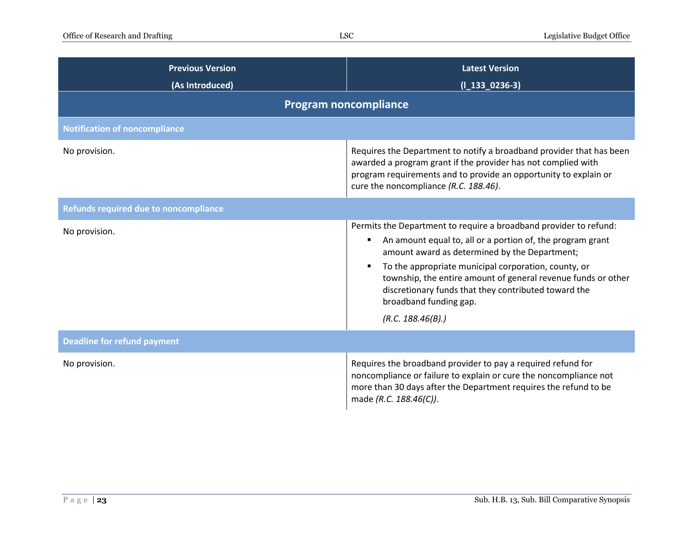| <b>Previous Version</b><br>(As Introduced)   | <b>Latest Version</b><br>$(I_133_0236-3)$                                                                                                                                                                                                                                                                                                                                                                        |
|----------------------------------------------|------------------------------------------------------------------------------------------------------------------------------------------------------------------------------------------------------------------------------------------------------------------------------------------------------------------------------------------------------------------------------------------------------------------|
|                                              | <b>Program noncompliance</b>                                                                                                                                                                                                                                                                                                                                                                                     |
| <b>Notification of noncompliance</b>         |                                                                                                                                                                                                                                                                                                                                                                                                                  |
| No provision.                                | Requires the Department to notify a broadband provider that has been<br>awarded a program grant if the provider has not complied with<br>program requirements and to provide an opportunity to explain or<br>cure the noncompliance (R.C. 188.46).                                                                                                                                                               |
| <b>Refunds required due to noncompliance</b> |                                                                                                                                                                                                                                                                                                                                                                                                                  |
| No provision.                                | Permits the Department to require a broadband provider to refund:<br>An amount equal to, all or a portion of, the program grant<br>amount award as determined by the Department;<br>To the appropriate municipal corporation, county, or<br>township, the entire amount of general revenue funds or other<br>discretionary funds that they contributed toward the<br>broadband funding gap.<br>(R.C. 188.46(B).) |
| <b>Deadline for refund payment</b>           |                                                                                                                                                                                                                                                                                                                                                                                                                  |
| No provision.                                | Requires the broadband provider to pay a required refund for<br>noncompliance or failure to explain or cure the noncompliance not<br>more than 30 days after the Department requires the refund to be<br>made (R.C. 188.46(C)).                                                                                                                                                                                  |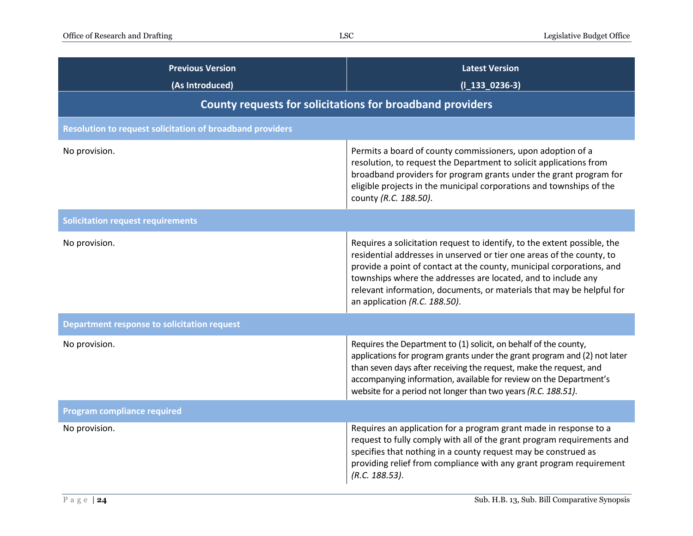| <b>Previous Version</b><br>(As Introduced)                       | <b>Latest Version</b><br>$(I_133_0236-3)$                                                                                                                                                                                                                                                                                                                                                             |
|------------------------------------------------------------------|-------------------------------------------------------------------------------------------------------------------------------------------------------------------------------------------------------------------------------------------------------------------------------------------------------------------------------------------------------------------------------------------------------|
| County requests for solicitations for broadband providers        |                                                                                                                                                                                                                                                                                                                                                                                                       |
| <b>Resolution to request solicitation of broadband providers</b> |                                                                                                                                                                                                                                                                                                                                                                                                       |
| No provision.                                                    | Permits a board of county commissioners, upon adoption of a<br>resolution, to request the Department to solicit applications from<br>broadband providers for program grants under the grant program for<br>eligible projects in the municipal corporations and townships of the<br>county (R.C. 188.50).                                                                                              |
| <b>Solicitation request requirements</b>                         |                                                                                                                                                                                                                                                                                                                                                                                                       |
| No provision.                                                    | Requires a solicitation request to identify, to the extent possible, the<br>residential addresses in unserved or tier one areas of the county, to<br>provide a point of contact at the county, municipal corporations, and<br>townships where the addresses are located, and to include any<br>relevant information, documents, or materials that may be helpful for<br>an application (R.C. 188.50). |
| <b>Department response to solicitation request</b>               |                                                                                                                                                                                                                                                                                                                                                                                                       |
| No provision.                                                    | Requires the Department to (1) solicit, on behalf of the county,<br>applications for program grants under the grant program and (2) not later<br>than seven days after receiving the request, make the request, and<br>accompanying information, available for review on the Department's<br>website for a period not longer than two years (R.C. 188.51).                                            |
| <b>Program compliance required</b>                               |                                                                                                                                                                                                                                                                                                                                                                                                       |
| No provision.                                                    | Requires an application for a program grant made in response to a<br>request to fully comply with all of the grant program requirements and<br>specifies that nothing in a county request may be construed as<br>providing relief from compliance with any grant program requirement<br>(R.C. 188.53).                                                                                                |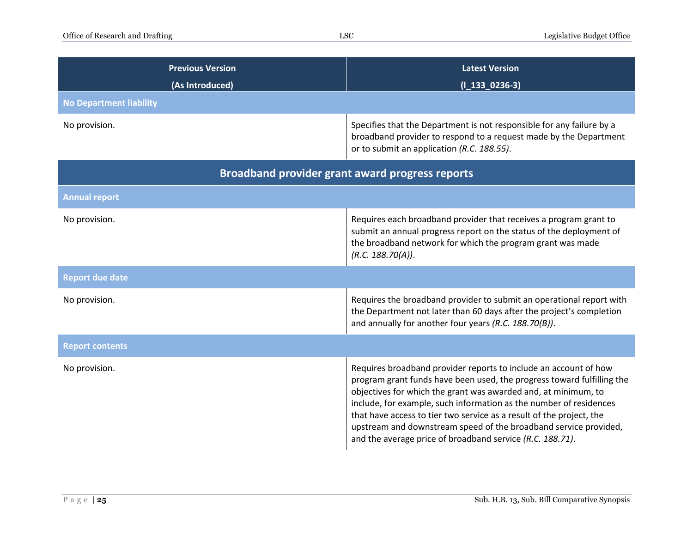| <b>Previous Version</b><br>(As Introduced)             | <b>Latest Version</b><br>$(I_133_0236-3)$                                                                                                                                                                                                                                                                                                                                                                                                                                                   |  |
|--------------------------------------------------------|---------------------------------------------------------------------------------------------------------------------------------------------------------------------------------------------------------------------------------------------------------------------------------------------------------------------------------------------------------------------------------------------------------------------------------------------------------------------------------------------|--|
| <b>No Department liability</b>                         |                                                                                                                                                                                                                                                                                                                                                                                                                                                                                             |  |
| No provision.                                          | Specifies that the Department is not responsible for any failure by a<br>broadband provider to respond to a request made by the Department<br>or to submit an application (R.C. 188.55).                                                                                                                                                                                                                                                                                                    |  |
| <b>Broadband provider grant award progress reports</b> |                                                                                                                                                                                                                                                                                                                                                                                                                                                                                             |  |
| <b>Annual report</b>                                   |                                                                                                                                                                                                                                                                                                                                                                                                                                                                                             |  |
| No provision.                                          | Requires each broadband provider that receives a program grant to<br>submit an annual progress report on the status of the deployment of<br>the broadband network for which the program grant was made<br>(R.C. 188.70(A)).                                                                                                                                                                                                                                                                 |  |
| <b>Report due date</b>                                 |                                                                                                                                                                                                                                                                                                                                                                                                                                                                                             |  |
| No provision.                                          | Requires the broadband provider to submit an operational report with<br>the Department not later than 60 days after the project's completion<br>and annually for another four years (R.C. 188.70(B)).                                                                                                                                                                                                                                                                                       |  |
| <b>Report contents</b>                                 |                                                                                                                                                                                                                                                                                                                                                                                                                                                                                             |  |
| No provision.                                          | Requires broadband provider reports to include an account of how<br>program grant funds have been used, the progress toward fulfilling the<br>objectives for which the grant was awarded and, at minimum, to<br>include, for example, such information as the number of residences<br>that have access to tier two service as a result of the project, the<br>upstream and downstream speed of the broadband service provided,<br>and the average price of broadband service (R.C. 188.71). |  |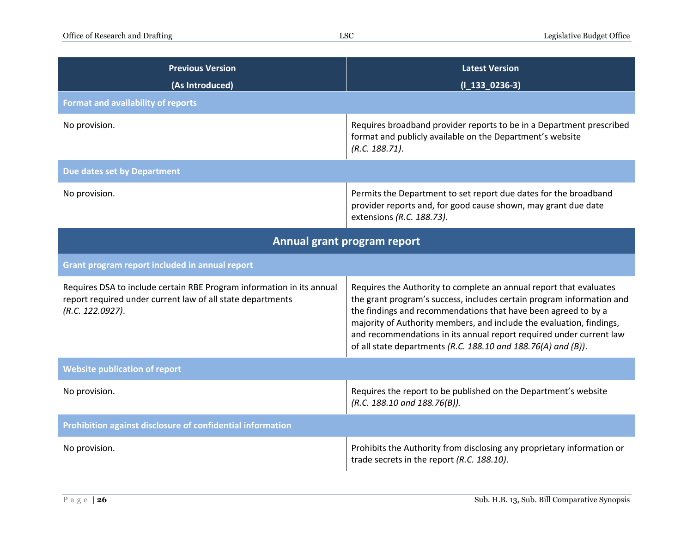| <b>Previous Version</b><br>(As Introduced)                                                                                                              | <b>Latest Version</b><br>$(I_133_0236-3)$                                                                                                                                                                                                                                                                                                                                                                                     |  |
|---------------------------------------------------------------------------------------------------------------------------------------------------------|-------------------------------------------------------------------------------------------------------------------------------------------------------------------------------------------------------------------------------------------------------------------------------------------------------------------------------------------------------------------------------------------------------------------------------|--|
| <b>Format and availability of reports</b>                                                                                                               |                                                                                                                                                                                                                                                                                                                                                                                                                               |  |
| No provision.                                                                                                                                           | Requires broadband provider reports to be in a Department prescribed<br>format and publicly available on the Department's website<br>(R.C. 188.71).                                                                                                                                                                                                                                                                           |  |
| Due dates set by Department                                                                                                                             |                                                                                                                                                                                                                                                                                                                                                                                                                               |  |
| No provision.                                                                                                                                           | Permits the Department to set report due dates for the broadband<br>provider reports and, for good cause shown, may grant due date<br>extensions (R.C. 188.73).                                                                                                                                                                                                                                                               |  |
| Annual grant program report                                                                                                                             |                                                                                                                                                                                                                                                                                                                                                                                                                               |  |
| Grant program report included in annual report                                                                                                          |                                                                                                                                                                                                                                                                                                                                                                                                                               |  |
| Requires DSA to include certain RBE Program information in its annual<br>report required under current law of all state departments<br>(R.C. 122.0927). | Requires the Authority to complete an annual report that evaluates<br>the grant program's success, includes certain program information and<br>the findings and recommendations that have been agreed to by a<br>majority of Authority members, and include the evaluation, findings,<br>and recommendations in its annual report required under current law<br>of all state departments (R.C. 188.10 and 188.76(A) and (B)). |  |
| <b>Website publication of report</b>                                                                                                                    |                                                                                                                                                                                                                                                                                                                                                                                                                               |  |
| No provision.                                                                                                                                           | Requires the report to be published on the Department's website<br>(R.C. 188.10 and 188.76(B)).                                                                                                                                                                                                                                                                                                                               |  |
| Prohibition against disclosure of confidential information                                                                                              |                                                                                                                                                                                                                                                                                                                                                                                                                               |  |
| No provision.                                                                                                                                           | Prohibits the Authority from disclosing any proprietary information or<br>trade secrets in the report (R.C. 188.10).                                                                                                                                                                                                                                                                                                          |  |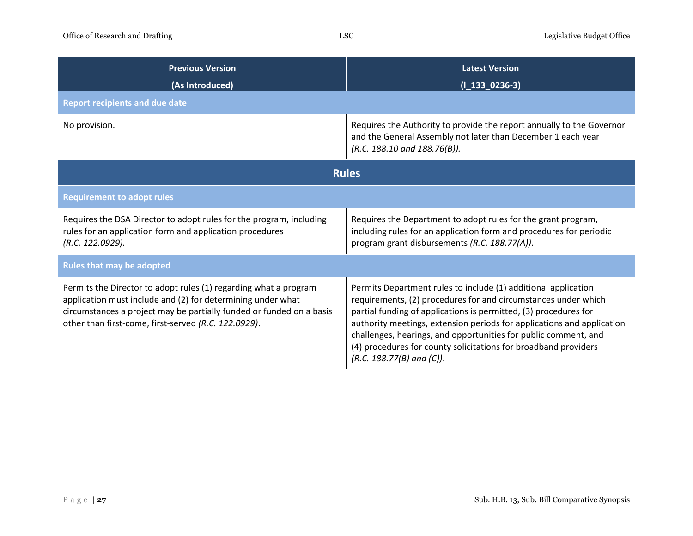| <b>Previous Version</b><br>(As Introduced)                                                                                                                                                                                                                      | <b>Latest Version</b><br>$(I_133_0236-3)$                                                                                                                                                                                                                                                                                                                                                                                                              |  |
|-----------------------------------------------------------------------------------------------------------------------------------------------------------------------------------------------------------------------------------------------------------------|--------------------------------------------------------------------------------------------------------------------------------------------------------------------------------------------------------------------------------------------------------------------------------------------------------------------------------------------------------------------------------------------------------------------------------------------------------|--|
| <b>Report recipients and due date</b>                                                                                                                                                                                                                           |                                                                                                                                                                                                                                                                                                                                                                                                                                                        |  |
| No provision.                                                                                                                                                                                                                                                   | Requires the Authority to provide the report annually to the Governor<br>and the General Assembly not later than December 1 each year<br>$(R.C. 188.10$ and $188.76(B)$ ).                                                                                                                                                                                                                                                                             |  |
| <b>Rules</b>                                                                                                                                                                                                                                                    |                                                                                                                                                                                                                                                                                                                                                                                                                                                        |  |
| <b>Requirement to adopt rules</b>                                                                                                                                                                                                                               |                                                                                                                                                                                                                                                                                                                                                                                                                                                        |  |
| Requires the DSA Director to adopt rules for the program, including<br>rules for an application form and application procedures<br>(R.C. 122.0929).                                                                                                             | Requires the Department to adopt rules for the grant program,<br>including rules for an application form and procedures for periodic<br>program grant disbursements (R.C. 188.77(A)).                                                                                                                                                                                                                                                                  |  |
| <b>Rules that may be adopted</b>                                                                                                                                                                                                                                |                                                                                                                                                                                                                                                                                                                                                                                                                                                        |  |
| Permits the Director to adopt rules (1) regarding what a program<br>application must include and (2) for determining under what<br>circumstances a project may be partially funded or funded on a basis<br>other than first-come, first-served (R.C. 122.0929). | Permits Department rules to include (1) additional application<br>requirements, (2) procedures for and circumstances under which<br>partial funding of applications is permitted, (3) procedures for<br>authority meetings, extension periods for applications and application<br>challenges, hearings, and opportunities for public comment, and<br>(4) procedures for county solicitations for broadband providers<br>$(R.C. 188.77(B)$ and $(C)$ ). |  |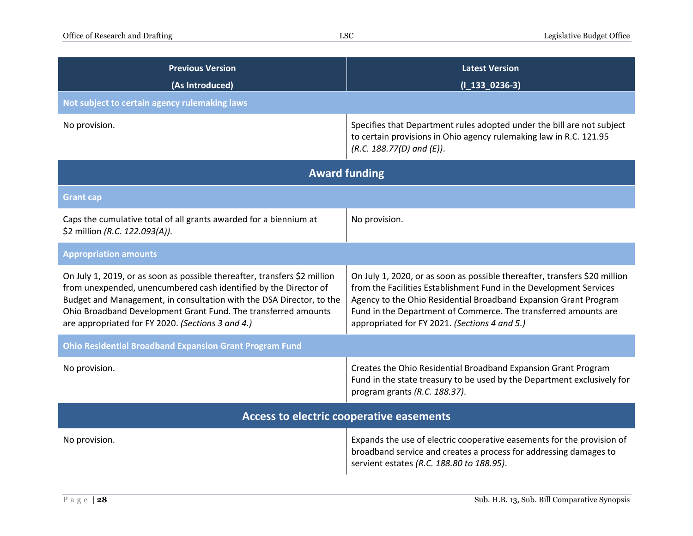| <b>Previous Version</b><br>(As Introduced)                                                                                                                                                                                                                                                                                                   | <b>Latest Version</b><br>$(I_133_0236-3)$                                                                                                                                                                                                                                                                                                |  |
|----------------------------------------------------------------------------------------------------------------------------------------------------------------------------------------------------------------------------------------------------------------------------------------------------------------------------------------------|------------------------------------------------------------------------------------------------------------------------------------------------------------------------------------------------------------------------------------------------------------------------------------------------------------------------------------------|--|
| Not subject to certain agency rulemaking laws                                                                                                                                                                                                                                                                                                |                                                                                                                                                                                                                                                                                                                                          |  |
| No provision.                                                                                                                                                                                                                                                                                                                                | Specifies that Department rules adopted under the bill are not subject<br>to certain provisions in Ohio agency rulemaking law in R.C. 121.95<br>$(R.C. 188.77(D)$ and $(E)$ ).                                                                                                                                                           |  |
| <b>Award funding</b>                                                                                                                                                                                                                                                                                                                         |                                                                                                                                                                                                                                                                                                                                          |  |
| <b>Grant cap</b>                                                                                                                                                                                                                                                                                                                             |                                                                                                                                                                                                                                                                                                                                          |  |
| Caps the cumulative total of all grants awarded for a biennium at<br>\$2 million (R.C. 122.093(A)).                                                                                                                                                                                                                                          | No provision.                                                                                                                                                                                                                                                                                                                            |  |
| <b>Appropriation amounts</b>                                                                                                                                                                                                                                                                                                                 |                                                                                                                                                                                                                                                                                                                                          |  |
| On July 1, 2019, or as soon as possible thereafter, transfers \$2 million<br>from unexpended, unencumbered cash identified by the Director of<br>Budget and Management, in consultation with the DSA Director, to the<br>Ohio Broadband Development Grant Fund. The transferred amounts<br>are appropriated for FY 2020. (Sections 3 and 4.) | On July 1, 2020, or as soon as possible thereafter, transfers \$20 million<br>from the Facilities Establishment Fund in the Development Services<br>Agency to the Ohio Residential Broadband Expansion Grant Program<br>Fund in the Department of Commerce. The transferred amounts are<br>appropriated for FY 2021. (Sections 4 and 5.) |  |
| <b>Ohio Residential Broadband Expansion Grant Program Fund</b>                                                                                                                                                                                                                                                                               |                                                                                                                                                                                                                                                                                                                                          |  |
| No provision.                                                                                                                                                                                                                                                                                                                                | Creates the Ohio Residential Broadband Expansion Grant Program<br>Fund in the state treasury to be used by the Department exclusively for<br>program grants (R.C. 188.37).                                                                                                                                                               |  |
| Access to electric cooperative easements                                                                                                                                                                                                                                                                                                     |                                                                                                                                                                                                                                                                                                                                          |  |
| No provision.                                                                                                                                                                                                                                                                                                                                | Expands the use of electric cooperative easements for the provision of<br>broadband service and creates a process for addressing damages to<br>servient estates (R.C. 188.80 to 188.95).                                                                                                                                                 |  |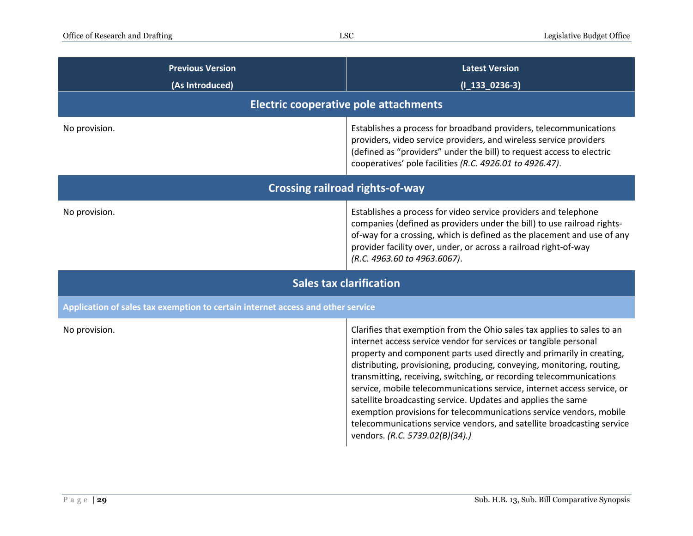| <b>Previous Version</b><br>(As Introduced)                                      | <b>Latest Version</b><br>$(I_133_0236-3)$                                                                                                                                                                                                                                                                                                                                                                                                                                                                                                                                                                                                                                                            |  |
|---------------------------------------------------------------------------------|------------------------------------------------------------------------------------------------------------------------------------------------------------------------------------------------------------------------------------------------------------------------------------------------------------------------------------------------------------------------------------------------------------------------------------------------------------------------------------------------------------------------------------------------------------------------------------------------------------------------------------------------------------------------------------------------------|--|
| Electric cooperative pole attachments                                           |                                                                                                                                                                                                                                                                                                                                                                                                                                                                                                                                                                                                                                                                                                      |  |
| No provision.                                                                   | Establishes a process for broadband providers, telecommunications<br>providers, video service providers, and wireless service providers<br>(defined as "providers" under the bill) to request access to electric<br>cooperatives' pole facilities (R.C. 4926.01 to 4926.47).                                                                                                                                                                                                                                                                                                                                                                                                                         |  |
| <b>Crossing railroad rights-of-way</b>                                          |                                                                                                                                                                                                                                                                                                                                                                                                                                                                                                                                                                                                                                                                                                      |  |
| No provision.                                                                   | Establishes a process for video service providers and telephone<br>companies (defined as providers under the bill) to use railroad rights-<br>of-way for a crossing, which is defined as the placement and use of any<br>provider facility over, under, or across a railroad right-of-way<br>(R.C. 4963.60 to 4963.6067).                                                                                                                                                                                                                                                                                                                                                                            |  |
| <b>Sales tax clarification</b>                                                  |                                                                                                                                                                                                                                                                                                                                                                                                                                                                                                                                                                                                                                                                                                      |  |
| Application of sales tax exemption to certain internet access and other service |                                                                                                                                                                                                                                                                                                                                                                                                                                                                                                                                                                                                                                                                                                      |  |
| No provision.                                                                   | Clarifies that exemption from the Ohio sales tax applies to sales to an<br>internet access service vendor for services or tangible personal<br>property and component parts used directly and primarily in creating,<br>distributing, provisioning, producing, conveying, monitoring, routing,<br>transmitting, receiving, switching, or recording telecommunications<br>service, mobile telecommunications service, internet access service, or<br>satellite broadcasting service. Updates and applies the same<br>exemption provisions for telecommunications service vendors, mobile<br>telecommunications service vendors, and satellite broadcasting service<br>vendors. (R.C. 5739.02(B)(34).) |  |